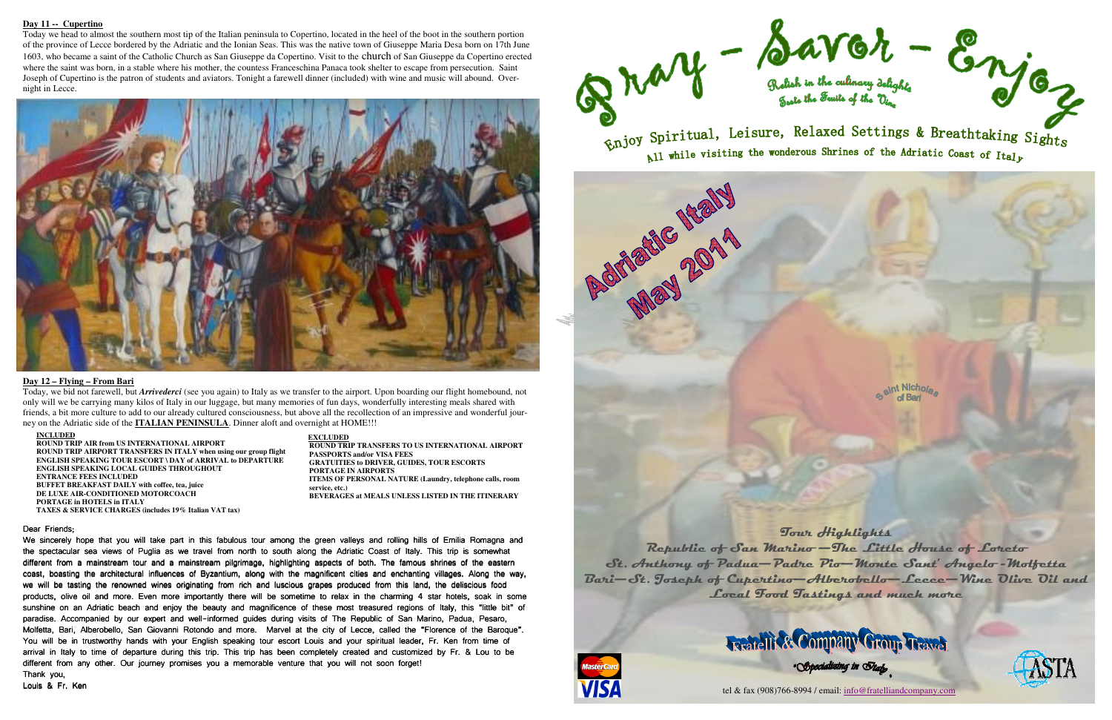#### **Day 11 -- Cupertino**

 Today we head to almost the southern most tip of the Italian peninsula to Copertino, located in the heel of the boot in the southern portion of the province of Lecce bordered by the Adriatic and the Ionian Seas. This was the native town of Giuseppe Maria Desa born on 17th June 1603, who became a saint of the Catholic Church as San Giuseppe da Copertino. Visit to the church of San Giuseppe da Copertino erected where the saint was born, in a stable where his mother, the countess Franceschina Panaca took shelter to escape from persecution. Saint Joseph of Cupertino is the patron of students and aviators. Tonight a farewell dinner (included) with wine and music will abound. Overnight in Lecce.



#### **Day 12 – Flying – From Bari**

 Today, we bid not farewell, but *Arrivederci* (see you again) to Italy as we transfer to the airport. Upon boarding our flight homebound, not only will we be carrying many kilos of Italy in our luggage, but many memories of fun days, wonderfully interesting meals shared with friends, a bit more culture to add to our already cultured consciousness, but above all the recollection of an impressive and wonderful journey on the Adriatic side of the **ITALIAN PENINSULA**. Dinner aloft and overnight at HOME!!!

> **EXCLUDED ROUND TRIP TRANSFERS TO US INTERNATIONAL AIRPORT PASSPORTS and/or VISA FEES GRATUITIES to DRIVER, GUIDES, TOUR ESCORTS PORTAGE IN AIRPORTS ITEMS OF PERSONAL NATURE (Laundry, telephone calls, room service, etc.) BEVERAGES at MEALS UNLESS LISTED IN THE ITINERARY**

#### Dear Friends:

We sincerely hope that you will take part in this fabulous tour among the green valleys and rolling hills of Emilia Romagna and the spectacular sea views of Puglia as we travel from north to south along the Adriatic Coast of Italy. This trip is somewhat different from a mainstream tour and a mainstream pilgrimage, highlighting aspects of both. The famous shrines of the eastern coast, boasting the architectural influences of Byzantium, along with the magnificent cities and enchanting villages. Along the way, we will be tasting the renowned wines originating from rich and luscious grapes produced from this land, the deliscious food products, olive oil and more. Even more importantly there will be sometime to relax in the charming 4 star hotels, soak in some sunshine on an Adriatic beach and enjoy the beauty and magnificence of these most treasured regions of Italy, this "little bit" bit" of paradise. Accompanied by our expert and well-informed guides during visits of The Republic of San Marino, Padua, Pesaro, Molfetta, Bari, Alberobello, San Giovanni Rotondo and more. Marvel at the city of Lecce, called the "Florence of the Baroque". You will be in trustworthy hands with your English speaking tour escort Louis and your spiritual leader, Fr. Ken from time of arrival in Italy to time of departure during this trip. This trip has been completely created and customized by Fr. & Lou to be different from any other. Our journey promises you a memorable venture that you will not soon forget! Thank you,

Louis & Fr. Ken



Enjoy Spiritual, Leisure, Relaxed Settings & Breathtaking Sights  $\mathbb{R}$ l while visiting the wonderous Shrines of the Adriatic Coast of Ital<sub>k</sub>

**Rotheric Rely** 



#### **INCLUDED**

 **ROUND TRIP AIR from US INTERNATIONAL AIRPORT ROUND TRIP AIRPORT TRANSFERS IN ITALY when using our group flight ENGLISH SPEAKING TOUR ESCORT \ DAY of ARRIVAL to DEPARTURE ENGLISH SPEAKING LOCAL GUIDES THROUGHOUT ENTRANCE FEES INCLUDED BUFFET BREAKFAST DAILY with coffee, tea, juice DE LUXE AIR-CONDITIONED MOTORCOACH PORTAGE in HOTELS in ITALY TAXES & SERVICE CHARGES (includes 19% Italian VAT tax)** 







tel & fax (908)766-8994 / email: info@fratelliandcompany.com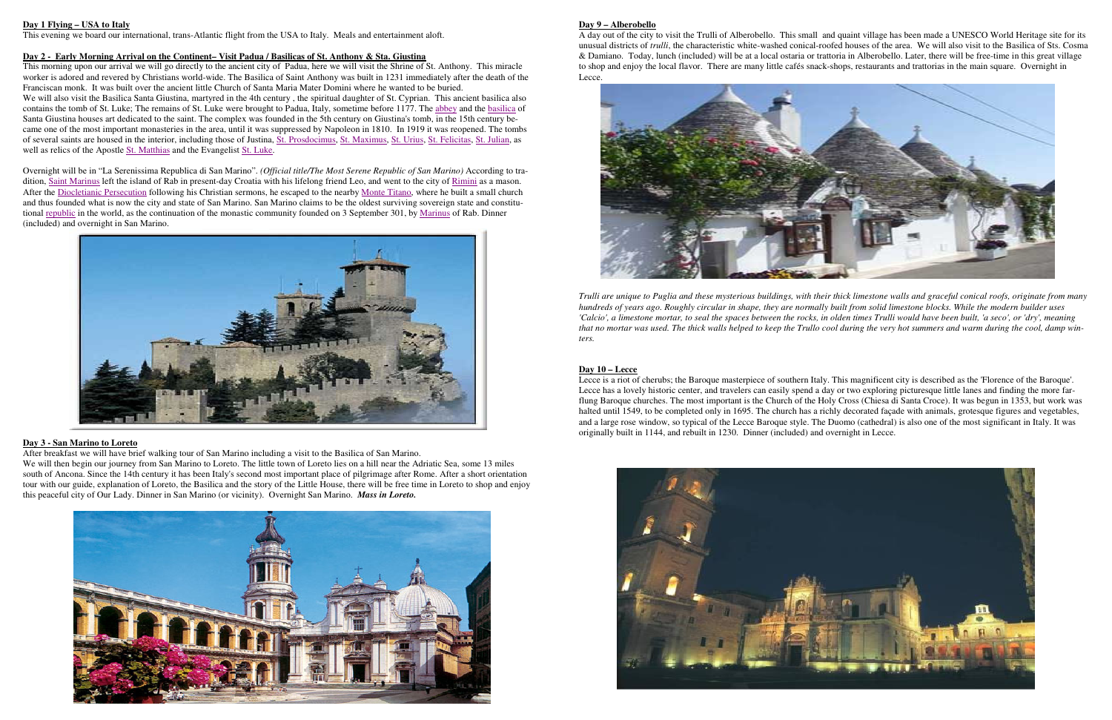# **Day 1 Flying – USA to Italy**

This evening we board our international, trans-Atlantic flight from the USA to Italy. Meals and entertainment aloft.

 This morning upon our arrival we will go directly to the ancient city of Padua, here we will visit the Shrine of St. Anthony. This miracle worker is adored and revered by Christians world-wide. The Basilica of Saint Anthony was built in 1231 immediately after the death of the Franciscan monk. It was built over the ancient little Church of Santa Maria Mater Domini where he wanted to be buried. We will also visit the Basilica Santa Giustina, martyred in the 4th century, the spiritual daughter of St. Cyprian. This ancient basilica also contains the tomb of St. Luke; The remains of St. Luke were brought to Padua, Italy, sometime before 1177. The abbey and the basilica of

### **Day 2 - Early Morning Arrival on the Continent– Visit Padua / Basilicas of St. Anthony & Sta. Giustina**

Santa Giustina houses art dedicated to the saint. The complex was founded in the 5th century on Giustina's tomb, in the 15th century became one of the most important monasteries in the area, until it was suppressed by Napoleon in 1810. In 1919 it was reopened. The tombs of several saints are housed in the interior, including those of Justina, St. Prosdocimus, St. Maximus, St. Urius, St. Felicitas, St. Julian, as well as relics of the Apostle St. Matthias and the Evangelist St. Luke.

Overnight will be in "La Serenissima Republica di San Marino". *(Official title/The Most Serene Republic of San Marino)* According to tradition, Saint Marinus left the island of Rab in present-day Croatia with his lifelong friend Leo, and went to the city of Rimini as a mason. After the Diocletianic Persecution following his Christian sermons, he escaped to the nearby Monte Titano, where he built a small church and thus founded what is now the city and state of San Marino. San Marino claims to be the oldest surviving sovereign state and constitutional republic in the world, as the continuation of the monastic community founded on 3 September 301, by Marinus of Rab. Dinner (included) and overnight in San Marino.



### **Day 3 - San Marino to Loreto**

After breakfast we will have brief walking tour of San Marino including a visit to the Basilica of San Marino.

 We will then begin our journey from San Marino to Loreto. The little town of Loreto lies on a hill near the Adriatic Sea, some 13 miles south of Ancona. Since the 14th century it has been Italy's second most important place of pilgrimage after Rome. After a short orientation tour with our guide, explanation of Loreto, the Basilica and the story of the Little House, there will be free time in Loreto to shop and enjoy this peaceful city of Our Lady. Dinner in San Marino (or vicinity). Overnight San Marino. *Mass in Loreto.*



#### **Day 9 – Alberobello**

 A day out of the city to visit the Trulli of Alberobello. This small and quaint village has been made a UNESCO World Heritage site for its unusual districts of *trulli*, the characteristic white-washed conical-roofed houses of the area. We will also visit to the Basilica of Sts. Cosma & Damiano. Today, lunch (included) will be at a local ostaria or trattoria in Alberobello. Later, there will be free-time in this great village to shop and enjoy the local flavor. There are many little cafés snack-shops, restaurants and trattorias in the main square. Overnight in Lecce.



*Trulli are unique to Puglia and these mysterious buildings, with their thick limestone walls and graceful conical roofs, originate from many hundreds of years ago. Roughly circular in shape, they are normally built from solid limestone blocks. While the modern builder uses 'Calcio', a limestone mortar, to seal the spaces between the rocks, in olden times Trulli would have been built, 'a seco', or 'dry', meaning that no mortar was used. The thick walls helped to keep the Trullo cool during the very hot summers and warm during the cool, damp win-*

*ters.* 

# **Day 10 – Lecce**

 Lecce is a riot of cherubs; the Baroque masterpiece of southern Italy. This magnificent city is described as the 'Florence of the Baroque'. Lecce has a lovely historic center, and travelers can easily spend a day or two exploring picturesque little lanes and finding the more farflung Baroque churches. The most important is the Church of the Holy Cross (Chiesa di Santa Croce). It was begun in 1353, but work was halted until 1549, to be completed only in 1695. The church has a richly decorated façade with animals, grotesque figures and vegetables, and a large rose window, so typical of the Lecce Baroque style. The Duomo (cathedral) is also one of the most significant in Italy. It was originally built in 1144, and rebuilt in 1230. Dinner (included) and overnight in Lecce.